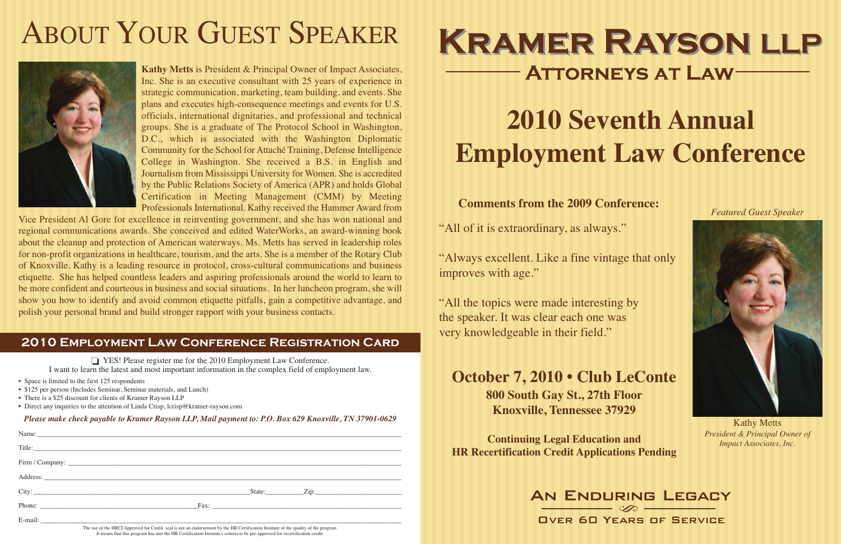# **2010 Seventh Annual Employment Law Conference**



# **Comments from the 2009 Conference:**

"All of it is extraordinary, as always."

"Always excellent. Like a fine vintage that only improves with age."

"All the topics were made interesting by the speaker. It was clear each one was very knowledgeable in their field."

# **October 7, 2010 • Club LeConte 800 South Gay St., 27th Floor Knoxville, Tennessee 37929**

**Continuing Legal Education and HR Recertification Credit Applications Pending**

**Kathy Metts** is President & Principal Owner of Impact Associates, Inc. She is an executive consultant with 25 years of experience in strategic communication, marketing, team building, and events. She plans and executes high-consequence meetings and events for U.S. officials, international dignitaries, and professional and technical groups. She is a graduate of The Protocol School in Washington, D.C., which is associated with the Washington Diplomatic Community for the School for Attaché Training, Defense Intelligence College in Washington. She received a B.S. in English and Journalism from Mississippi University for Women. She is accredited by the Public Relations Society of America (APR) and holds Global Certification in Meeting Management (CMM) by Meeting Professionals International. Kathy received the Hammer Award from

Vice President Al Gore for excellence in reinventing government, and she has won national and regional communications awards. She conceived and edited WaterWorks, an award-winning book about the cleanup and protection of American waterways. Ms. Metts has served in leadership roles for non-profit organizations in healthcare, tourism, and the arts. She is a member of the Rotary Club of Knoxville. Kathy is a leading resource in protocol, cross-cultural communications and business etiquette. She has helped countless leaders and aspiring professionals around the world to learn to be more confident and courteous in business and social situations. In her luncheon program, she will show you how to identify and avoid common etiquette pitfalls, gain a competitive advantage, and polish your personal brand and build stronger rapport with your business contacts.

❏ YES! Please register me for the 2010 Employment Law Conference. I want to learn the latest and most important information in the complex field of employment law.

- Space is limited to the first 125 respondents
- \$125 per person (Includes Seminar, Seminar materials, and Lunch)
- There is a \$25 discount for clients of Kramer Rayson LLP
- Direct any inquiries to the attention of Linda Crisp, lcrisp@kramer-rayson.com

### *Please make check payable to Kramer Rayson LLP, Mail payment to: P.O. Box 629 Knoxville, TN 37901-0629*

|  |  | Name: Name and the set of the set of the set of the set of the set of the set of the set of the set of the set of the set of the set of the set of the set of the set of the set of the set of the set of the set of the set o                                                                                                                                           |  |
|--|--|--------------------------------------------------------------------------------------------------------------------------------------------------------------------------------------------------------------------------------------------------------------------------------------------------------------------------------------------------------------------------|--|
|  |  | Title:                                                                                                                                                                                                                                                                                                                                                                   |  |
|  |  |                                                                                                                                                                                                                                                                                                                                                                          |  |
|  |  |                                                                                                                                                                                                                                                                                                                                                                          |  |
|  |  | $State:$ $Zip:$                                                                                                                                                                                                                                                                                                                                                          |  |
|  |  |                                                                                                                                                                                                                                                                                                                                                                          |  |
|  |  |                                                                                                                                                                                                                                                                                                                                                                          |  |
|  |  | The use of the HRCI Approved for Credit seal is not an endorsement by the HR Certification Institute of the quality of the program.<br>$\mathbf{v}_i$ , and the state of the state of the state of the state of the state of the state of the state of the state of the state of the state of the state of the state of the state of the state of the state of the state |  |

# **KRAMER RAYSON LLP ATTORNEYS AT LAW-**

It means that this program has met the HR Certification Institute's criteria to be pre-approved for recertification credit.

## **2010 Employment Law Conference Registration Card**

*Featured Guest Speaker*



Kathy Metts *President & Principal Owner of Impact Associates, Inc.*

# ABOUT YOUR GUEST SPEAKER